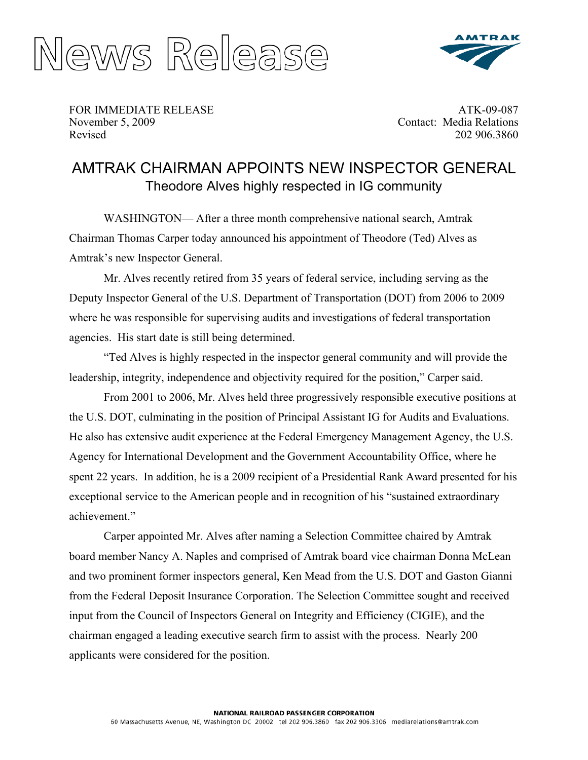



FOR IMMEDIATE RELEASE November 5, 2009 Revised

ATK-09-087 Contact: Media Relations 202 906.3860

## AMTRAK CHAIRMAN APPOINTS NEW INSPECTOR GENERAL Theodore Alves highly respected in IG community

WASHINGTON— After a three month comprehensive national search, Amtrak Chairman Thomas Carper today announced his appointment of Theodore (Ted) Alves as Amtrak's new Inspector General.

Mr. Alves recently retired from 35 years of federal service, including serving as the Deputy Inspector General of the U.S. Department of Transportation (DOT) from 2006 to 2009 where he was responsible for supervising audits and investigations of federal transportation agencies. His start date is still being determined.

"Ted Alves is highly respected in the inspector general community and will provide the leadership, integrity, independence and objectivity required for the position," Carper said.

From 2001 to 2006, Mr. Alves held three progressively responsible executive positions at the U.S. DOT, culminating in the position of Principal Assistant IG for Audits and Evaluations. He also has extensive audit experience at the Federal Emergency Management Agency, the U.S. Agency for International Development and the Government Accountability Office, where he spent 22 years. In addition, he is a 2009 recipient of a Presidential Rank Award presented for his exceptional service to the American people and in recognition of his "sustained extraordinary achievement."

Carper appointed Mr. Alves after naming a Selection Committee chaired by Amtrak board member Nancy A. Naples and comprised of Amtrak board vice chairman Donna McLean and two prominent former inspectors general, Ken Mead from the U.S. DOT and Gaston Gianni from the Federal Deposit Insurance Corporation. The Selection Committee sought and received input from the Council of Inspectors General on Integrity and Efficiency (CIGIE), and the chairman engaged a leading executive search firm to assist with the process. Nearly 200 applicants were considered for the position.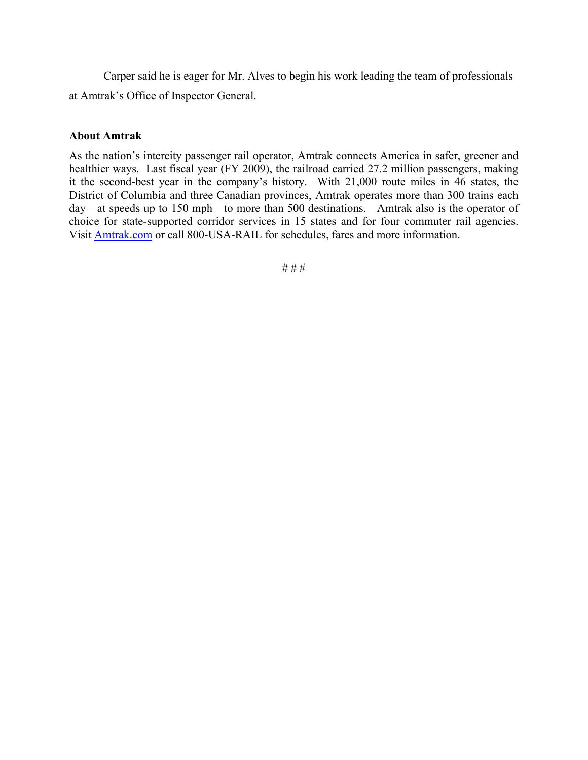Carper said he is eager for Mr. Alves to begin his work leading the team of professionals at Amtrak's Office of Inspector General.

## **About Amtrak**

As the nation's intercity passenger rail operator, Amtrak connects America in safer, greener and healthier ways. Last fiscal year (FY 2009), the railroad carried 27.2 million passengers, making it the second-best year in the company's history. With 21,000 route miles in 46 states, the District of Columbia and three Canadian provinces, Amtrak operates more than 300 trains each day—at speeds up to 150 mph—to more than 500 destinations. Amtrak also is the operator of choice for state-supported corridor services in 15 states and for four commuter rail agencies. Visit [Amtrak.com](http://www.amtrak.com/servlet/ContentServer?pagename=Amtrak/HomePage) or call 800-USA-RAIL for schedules, fares and more information.

# # #